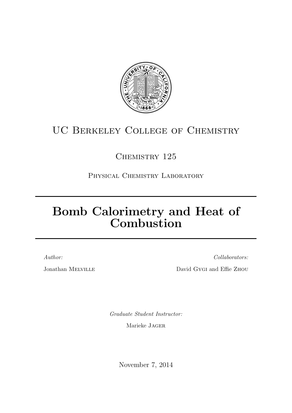

# UC Berkeley College of Chemistry

# CHEMISTRY 125

Physical Chemistry Laboratory

# Bomb Calorimetry and Heat of Combustion

Author:

Jonathan Melville

Collaborators:

David Gygi and Effie Zhou

Graduate Student Instructor:

Marieke Jager

November 7, 2014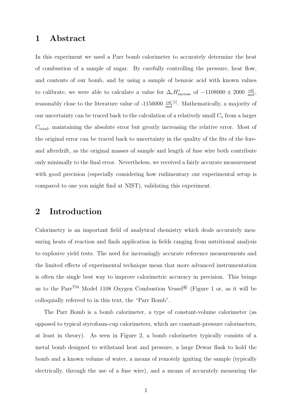## 1 Abstract

In this experiment we used a Parr bomb calorimeter to accurately determine the heat of combustion of a sample of sugar. By carefully controlling the pressure, heat flow, and contents of our bomb, and by using a sample of benzoic acid with known values to calibrate, we were able to calculate a value for  $\Delta_c H^{\circ}_{\text{success}}$  of  $-1108000 \pm 2000 \frac{\text{cal}}{\text{mol}}$ , reasonably close to the literature value of  $-1156000 \frac{\text{cal}}{\text{mol}}^{[1]}$ . Mathematically, a majority of our uncertainty can be traced back to the calculation of a relatively small  $C<sub>o</sub>$  from a larger  $C_{total}$ , maintaining the absolute error but greatly increasing the relative error. Most of the original error can be traced back to uncertainty in the quality of the fits of the foreand afterdrift, as the original masses of sample and length of fuse wire both contribute only minimally to the final error. Nevertheless, we received a fairly accurate measurement with good precision (especially considering how rudimentary our experimental setup is compared to one you might find at NIST), validating this experiment.

## 2 Introduction

Calorimetry is an important field of analytical chemistry which deals accurately measuring heats of reaction and finds application in fields ranging from nutritional analysis to explosive yield tests. The need for increasingly accurate reference measurements and the limited effects of experimental technique mean that more advanced instrumentation is often the single best way to improve calorimetric accuracy in precision. This brings us to the Parr<sup>TM</sup> Model 1108 Oxygen Combustion Vessel<sup>®</sup> (Figure 1 or, as it will be colloquially referred to in this text, the "Parr Bomb".

The Parr Bomb is a bomb calorimeter, a type of constant-volume calorimeter (as opposed to typical styrofoam-cup calorimeters, which are constant-pressure calorimeters, at least in theory). As seen in Figure 2, a bomb calorimeter typically consists of a metal bomb designed to withstand heat and pressure, a large Dewar flask to hold the bomb and a known volume of water, a means of remotely igniting the sample (typically electrically, through the use of a fuse wire), and a means of accurately measuring the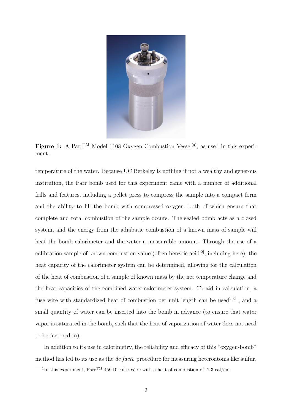

Figure 1: A Parr<sup>TM</sup> Model 1108 Oxygen Combustion Vessel<sup>®</sup>, as used in this experiment.

temperature of the water. Because UC Berkeley is nothing if not a wealthy and generous institution, the Parr bomb used for this experiment came with a number of additional frills and features, including a pellet press to compress the sample into a compact form and the ability to fill the bomb with compressed oxygen, both of which ensure that complete and total combustion of the sample occurs. The sealed bomb acts as a closed system, and the energy from the adiabatic combustion of a known mass of sample will heat the bomb calorimeter and the water a measurable amount. Through the use of a calibration sample of known combustion value (often benzoic acid<sup>[2]</sup>, including here), the heat capacity of the calorimeter system can be determined, allowing for the calculation of the heat of combustion of a sample of known mass by the net temperature change and the heat capacities of the combined water-calorimeter system. To aid in calculation, a fuse wire with standardized heat of combustion per unit length can be used<sup>1[3]</sup>, and a small quantity of water can be inserted into the bomb in advance (to ensure that water vapor is saturated in the bomb, such that the heat of vaporization of water does not need to be factored in).

In addition to its use in calorimetry, the reliability and efficacy of this "oxygen-bomb" method has led to its use as the de facto procedure for measuring heteroatoms like sulfur,

<sup>&</sup>lt;sup>1</sup>In this experiment,  $\text{Par}^{\text{TM}}$  45C10 Fuse Wire with a heat of combustion of -2.3 cal/cm.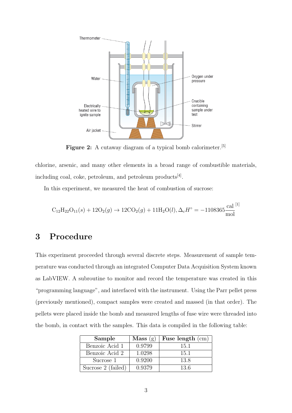

Figure 2: A cutaway diagram of a typical bomb calorimeter.<sup>[5]</sup>

chlorine, arsenic, and many other elements in a broad range of combustible materials, including coal, coke, petroleum, and petroleum products<sup>[4]</sup>.

In this experiment, we measured the heat of combustion of sucrose:

$$
C_{12}H_{22}O_{11}(s) + 12O_2(g) \rightarrow 12CO_2(g) + 11H_2O(l), \Delta_c H^{\circ} = -1108365 \frac{\text{cal}^{[1]}}{\text{mol}}
$$

## 3 Procedure

This experiment proceeded through several discrete steps. Measurement of sample temperature was conducted through an integrated Computer Data Acquisition System known as LabVIEW. A subroutine to monitor and record the temperature was created in this "programming language", and interfaced with the instrument. Using the Parr pellet press (previously mentioned), compact samples were created and massed (in that order). The pellets were placed inside the bomb and measured lengths of fuse wire were threaded into the bomb, in contact with the samples. This data is compiled in the following table:

| Sample             | Mass(g) | Fuse length $(cm)$ |
|--------------------|---------|--------------------|
| Benzoic Acid 1     | 0.9799  | 15.1               |
| Benzoic Acid 2     | 1.0298  | 15.1               |
| Sucrose 1          | 0.9200  | 13.8               |
| Sucrose 2 (failed) | 0.9379  | 13.6               |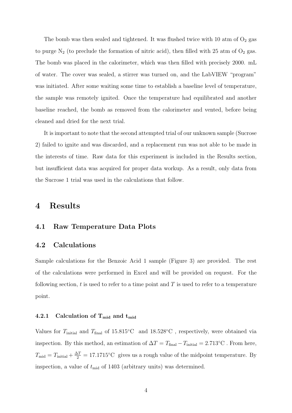The bomb was then sealed and tightened. It was flushed twice with 10 atm of  $O_2$  gas to purge  $N_2$  (to preclude the formation of nitric acid), then filled with 25 atm of  $O_2$  gas. The bomb was placed in the calorimeter, which was then filled with precisely 2000. mL of water. The cover was sealed, a stirrer was turned on, and the LabVIEW "program" was initiated. After some waiting some time to establish a baseline level of temperature, the sample was remotely ignited. Once the temperature had equilibrated and another baseline reached, the bomb as removed from the calorimeter and vented, before being cleaned and dried for the next trial.

It is important to note that the second attempted trial of our unknown sample (Sucrose 2) failed to ignite and was discarded, and a replacement run was not able to be made in the interests of time. Raw data for this experiment is included in the Results section, but insufficient data was acquired for proper data workup. As a result, only data from the Sucrose 1 trial was used in the calculations that follow.

### 4 Results

#### 4.1 Raw Temperature Data Plots

#### 4.2 Calculations

Sample calculations for the Benzoic Acid 1 sample (Figure 3) are provided. The rest of the calculations were performed in Excel and will be provided on request. For the following section,  $t$  is used to refer to a time point and  $T$  is used to refer to a temperature point.

#### 4.2.1 Calculation of  $T_{mid}$  and  $t_{mid}$

Values for  $T_{initial}$  and  $T_{final}$  of 15.815°C and 18.528°C, respectively, were obtained via inspection. By this method, an estimation of  $\Delta T = T_{\text{final}} - T_{\text{initial}} = 2.713$ °C. From here,  $T_{\text{mid}} = T_{\text{initial}} + \frac{\Delta T}{2} = 17.1715$ °C gives us a rough value of the midpoint temperature. By inspection, a value of  $t_{\text{mid}}$  of 1403 (arbitrary units) was determined.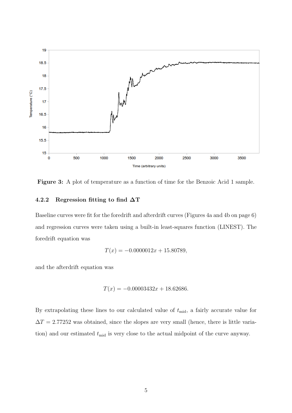

Figure 3: A plot of temperature as a function of time for the Benzoic Acid 1 sample.

#### 4.2.2 Regression fitting to find  $\Delta T$

Baseline curves were fit for the foredrift and afterdrift curves (Figures 4a and 4b on page 6) and regression curves were taken using a built-in least-squares function (LINEST). The foredrift equation was

$$
T(x) = -0.0000012x + 15.80789,
$$

and the afterdrift equation was

$$
T(x) = -0.00003432x + 18.62686.
$$

By extrapolating these lines to our calculated value of  $t_{\text{mid}}$ , a fairly accurate value for  $\Delta T = 2.77252$  was obtained, since the slopes are very small (hence, there is little variation) and our estimated  $t_{mid}$  is very close to the actual midpoint of the curve anyway.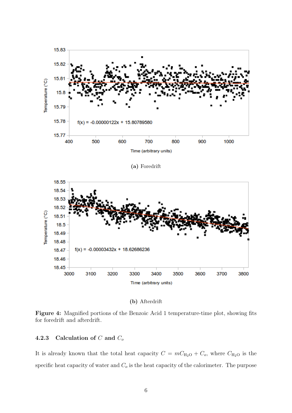

(b) Afterdrift

Figure 4: Magnified portions of the Benzoic Acid 1 temperature-time plot, showing fits for foredrift and afterdrift.

#### 4.2.3 Calculation of  $C$  and  $C_o$

It is already known that the total heat capacity  $C = mC_{\text{H}_2\text{O}} + C_o$ , where  $C_{\text{H}_2\text{O}}$  is the specific heat capacity of water and  $C<sub>o</sub>$  is the heat capacity of the calorimeter. The purpose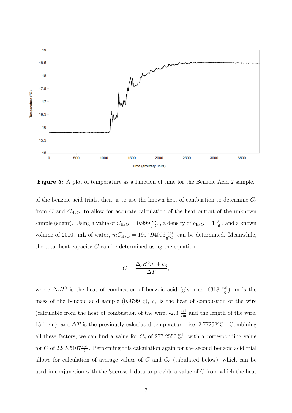

Figure 5: A plot of temperature as a function of time for the Benzoic Acid 2 sample.

of the benzoic acid trials, then, is to use the known heat of combustion to determine  $C_o$ from C and  $C_{\text{H}_2\text{O}}$ , to allow for accurate calculation of the heat output of the unknown sample (sugar). Using a value of  $C_{\text{H}_2\text{O}} = 0.999 \frac{\text{cal}}{\text{g}^{\circ}\text{C}}$ , a density of  $\rho_{\text{H}_2\text{O}} = 1 \frac{\text{g}}{\text{mL}}$ , and a known volume of 2000. mL of water,  $mC_{\text{H}_2\text{O}} = 1997.94006 \frac{\text{cal}}{\text{g}^{\circ}\text{C}}$  can be determined. Meanwhile, the total heat capacity  $C$  can be determined using the equation

$$
C = \frac{\Delta_c H^0 m + e_3}{\Delta T},
$$

where  $\Delta_c H^0$  is the heat of combustion of benzoic acid (given as -6318  $\frac{cal}{g}$ ), m is the mass of the benzoic acid sample  $(0.9799 \text{ g})$ ,  $e_3$  is the heat of combustion of the wire (calculable from the heat of combustion of the wire,  $-2.3 \frac{\text{cal}}{\text{cm}}$  and the length of the wire, 15.1 cm), and  $\Delta T$  is the previously calculated temperature rise, 2.77252°C. Combining all these factors, we can find a value for  $C_o$  of  $277.2553 \frac{\text{cal}}{\text{cC}}$ , with a corresponding value for C of 2245.5107 $\frac{cal}{\circ C}$ . Performing this calculation again for the second benzoic acid trial allows for calculation of average values of  $C$  and  $C<sub>o</sub>$  (tabulated below), which can be used in conjunction with the Sucrose 1 data to provide a value of C from which the heat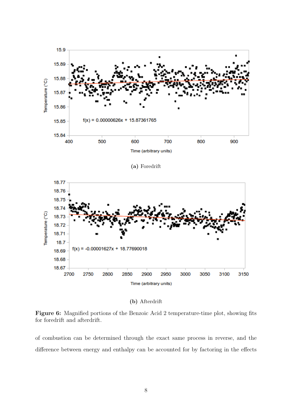

(b) Afterdrift

Figure 6: Magnified portions of the Benzoic Acid 2 temperature-time plot, showing fits for foredrift and afterdrift.

of combustion can be determined through the exact same process in reverse, and the difference between energy and enthalpy can be accounted for by factoring in the effects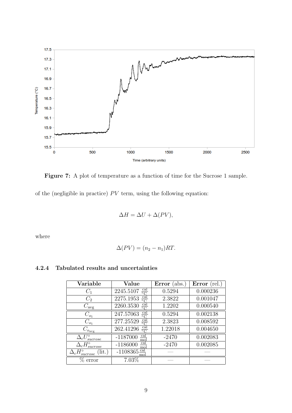

Figure 7: A plot of temperature as a function of time for the Sucrose 1 sample.

of the (negligible in practice)  $PV$  term, using the following equation:

$$
\Delta H = \Delta U + \Delta (PV),
$$

where

$$
\Delta(PV) = (n_2 - n_1)RT.
$$

#### 4.2.4 Tabulated results and uncertainties

| Variable                                 | Value                                                       | Error $(abs.)$ | Error $(\text{rel.})$ |
|------------------------------------------|-------------------------------------------------------------|----------------|-----------------------|
| $C_1$                                    | $rac{\text{cal}}{\circ \text{C}}$<br>2245.5107              | 0.5294         | 0.000236              |
| $C_2$                                    | $rac{\text{cal}}{\circ \text{C}}$<br>2275.1953              | 2.3822         | 0.001047              |
| $C_{\text{avg}}$                         | cal<br>2260.3530                                            | 1.2202         | 0.000540              |
| $C_{o_1}$                                | <u>cal</u><br>247.57063                                     | 0.5294         | 0.002138              |
| $C_{o_1}$                                | $\frac{\overline{\text{cal}}}{\circ \text{C}}$<br>277.25529 | 2.3823         | 0.008592              |
| $C_{o_{\underline{avg}}}$                | $\frac{\text{cal}}{\circ \text{C}}$<br>262.41296            | 1.22018        | 0.004650              |
| $\Delta_c U_{sucrose}^{\circ}$           | <u>cal</u><br>$-1187000$<br>$_{\rm mol}$                    | $-2470$        | 0.002083              |
| $\Delta_c H_{success}^{\circ}$           | $\frac{\text{cal}}{\text{mol}}$<br>$-1186000$               | $-2470$        | 0.002085              |
| $\Delta_c H_{success}^{\circ}$<br>(lit.) | $-1108365 \frac{cal}{1000}$<br>$\bmod$                      |                |                       |
| error                                    | 7.03%                                                       |                |                       |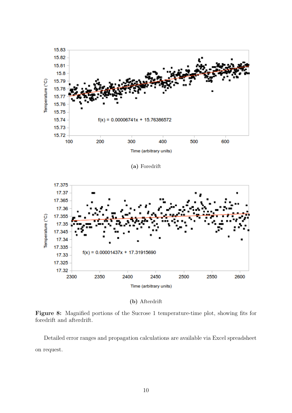

(b) Afterdrift

Figure 8: Magnified portions of the Sucrose 1 temperature-time plot, showing fits for foredrift and afterdrift.

Detailed error ranges and propagation calculations are available via Excel spreadsheet on request.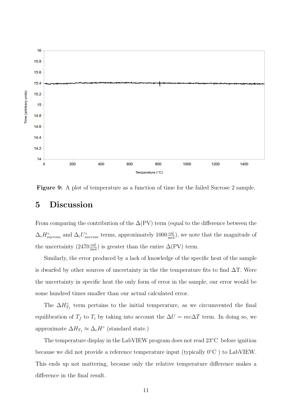

Figure 9: A plot of temperature as a function of time for the failed Sucrose 2 sample.

## 5 Discussion

From comparing the contribution of the  $\Delta$ (PV) term (equal to the difference between the  $\Delta_c H_{surrose}^{\circ}$  and  $\Delta_c U_{surrose}^{\circ}$  terms, approximately 1000 $\frac{\text{cal}}{\text{mol}}$ ), we note that the magnitude of the uncertainty  $(2470 \frac{\text{cal}}{\text{mol}})$  is greater than the entire  $\Delta(\text{PV})$  term.

Similarly, the error produced by a lack of knowledge of the specific heat of the sample is dwarfed by other sources of uncertainty in the the temperature fits to find  $\Delta T$ . Were the uncertainty in specific heat the only form of error in the sample, our error would be some hundred times smaller than our actual calculated error.

The  $\Delta H_{T_1}^{\circ}$  term pertains to the initial temperature, as we circumvented the final equilibration of  $T_f$  to  $T_i$  by taking into account the  $\Delta U = mc\Delta T$  term. In doing so, we approximate  $\Delta H_{T_1} \approx \Delta_c H^{\circ}$  (standard state.)

The temperature display in the LabVIEW program does not read 23◦C before ignition because we did not provide a reference temperature input (typically 0◦C ) to LabVIEW. This ends up not mattering, because only the relative temperature difference makes a difference in the final result.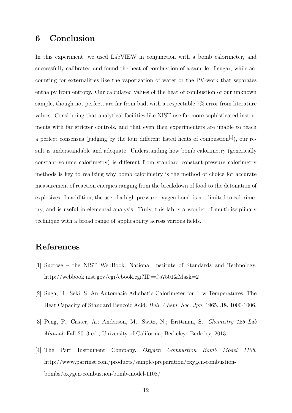## 6 Conclusion

In this experiment, we used LabVIEW in conjunction with a bomb calorimeter, and successfully calibrated and found the heat of combustion of a sample of sugar, while accounting for externalities like the vaporization of water or the PV-work that separates enthalpy from entropy. Our calculated values of the heat of combustion of our unknown sample, though not perfect, are far from bad, with a respectable 7% error from literature values. Considering that analytical facilities like NIST use far more sophisticated instruments with far stricter controls, and that even then experimenters are unable to reach a perfect consensus (judging by the four different listed heats of combustion<sup>[1]</sup>), our result is understandable and adequate. Understanding how bomb calorimetry (generically constant-volume calorimetry) is different from standard constant-pressure calorimetry methods is key to realizing why bomb calorimetry is the method of choice for accurate measurement of reaction energies ranging from the breakdown of food to the detonation of explosives. In addition, the use of a high-pressure oxygen bomb is not limited to calorimetry, and is useful in elemental analysis. Truly, this lab is a wonder of multidisciplinary technique with a broad range of applicability across various fields.

## References

- [1] Sucrose the NIST WebBook. National Institute of Standards and Technology. http://webbook.nist.gov/cgi/cbook.cgi?ID=C57501&Mask=2
- [2] Suga, H.; Seki, S. An Automatic Adiabatic Calorimeter for Low Temperatures. The Heat Capacity of Standard Benzoic Acid. Bull. Chem. Soc. Jpn. 1965, 38, 1000-1006.
- [3] Peng, P.; Caster, A.; Anderson, M.; Switz, N.; Brittman, S.; Chemistry 125 Lab Manual, Fall 2013 ed.; University of California, Berkeley: Berkeley, 2013.
- [4] The Parr Instrument Company. Oxygen Combustion Bomb Model 1108. http://www.parrinst.com/products/sample-preparation/oxygen-combustionbombs/oxygen-combustion-bomb-model-1108/